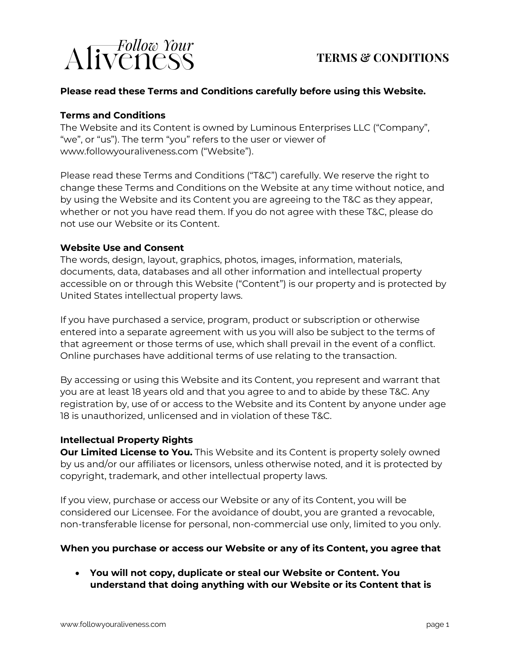

### **TERMS & CONDITIONS**

#### **Please read these Terms and Conditions carefully before using this Website.**

#### **Terms and Conditions**

The Website and its Content is owned by Luminous Enterprises LLC ("Company", "we", or "us"). The term "you" refers to the user or viewer of www.followyouraliveness.com ("Website").

Please read these Terms and Conditions ("T&C") carefully. We reserve the right to change these Terms and Conditions on the Website at any time without notice, and by using the Website and its Content you are agreeing to the T&C as they appear, whether or not you have read them. If you do not agree with these T&C, please do not use our Website or its Content.

#### **Website Use and Consent**

The words, design, layout, graphics, photos, images, information, materials, documents, data, databases and all other information and intellectual property accessible on or through this Website ("Content") is our property and is protected by United States intellectual property laws.

If you have purchased a service, program, product or subscription or otherwise entered into a separate agreement with us you will also be subject to the terms of that agreement or those terms of use, which shall prevail in the event of a conflict. Online purchases have additional terms of use relating to the transaction.

By accessing or using this Website and its Content, you represent and warrant that you are at least 18 years old and that you agree to and to abide by these T&C. Any registration by, use of or access to the Website and its Content by anyone under age 18 is unauthorized, unlicensed and in violation of these T&C.

#### **Intellectual Property Rights**

**Our Limited License to You.** This Website and its Content is property solely owned by us and/or our affiliates or licensors, unless otherwise noted, and it is protected by copyright, trademark, and other intellectual property laws.

If you view, purchase or access our Website or any of its Content, you will be considered our Licensee. For the avoidance of doubt, you are granted a revocable, non-transferable license for personal, non-commercial use only, limited to you only.

#### **When you purchase or access our Website or any of its Content, you agree that**

• **You will not copy, duplicate or steal our Website or Content. You understand that doing anything with our Website or its Content that is**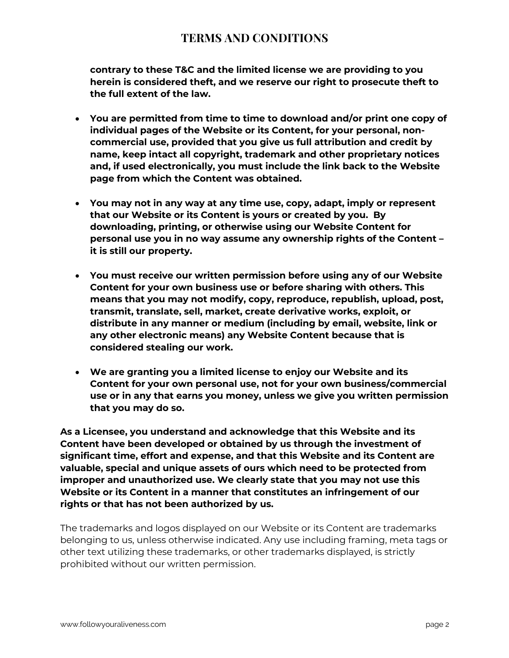**contrary to these T&C and the limited license we are providing to you herein is considered theft, and we reserve our right to prosecute theft to the full extent of the law.**

- **You are permitted from time to time to download and/or print one copy of individual pages of the Website or its Content, for your personal, noncommercial use, provided that you give us full attribution and credit by name, keep intact all copyright, trademark and other proprietary notices and, if used electronically, you must include the link back to the Website page from which the Content was obtained.**
- **You may not in any way at any time use, copy, adapt, imply or represent that our Website or its Content is yours or created by you. By downloading, printing, or otherwise using our Website Content for personal use you in no way assume any ownership rights of the Content – it is still our property.**
- **You must receive our written permission before using any of our Website Content for your own business use or before sharing with others. This means that you may not modify, copy, reproduce, republish, upload, post, transmit, translate, sell, market, create derivative works, exploit, or distribute in any manner or medium (including by email, website, link or any other electronic means) any Website Content because that is considered stealing our work.**
- **We are granting you a limited license to enjoy our Website and its Content for your own personal use, not for your own business/commercial use or in any that earns you money, unless we give you written permission that you may do so.**

**As a Licensee, you understand and acknowledge that this Website and its Content have been developed or obtained by us through the investment of significant time, effort and expense, and that this Website and its Content are valuable, special and unique assets of ours which need to be protected from improper and unauthorized use. We clearly state that you may not use this Website or its Content in a manner that constitutes an infringement of our rights or that has not been authorized by us.**

The trademarks and logos displayed on our Website or its Content are trademarks belonging to us, unless otherwise indicated. Any use including framing, meta tags or other text utilizing these trademarks, or other trademarks displayed, is strictly prohibited without our written permission.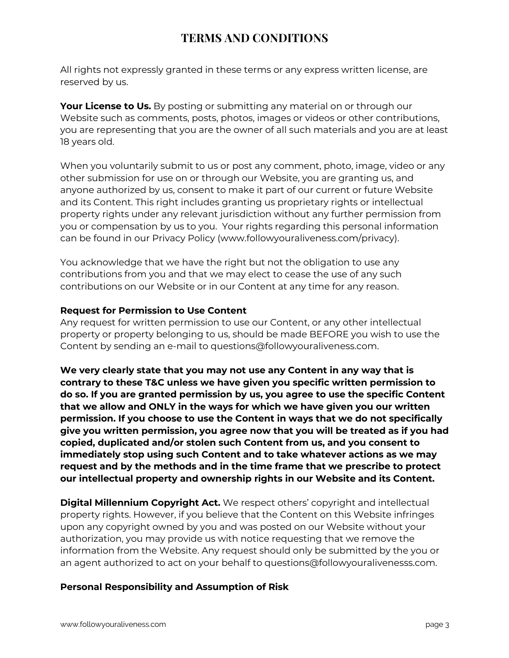All rights not expressly granted in these terms or any express written license, are reserved by us.

**Your License to Us.** By posting or submitting any material on or through our Website such as comments, posts, photos, images or videos or other contributions, you are representing that you are the owner of all such materials and you are at least 18 years old.

When you voluntarily submit to us or post any comment, photo, image, video or any other submission for use on or through our Website, you are granting us, and anyone authorized by us, consent to make it part of our current or future Website and its Content. This right includes granting us proprietary rights or intellectual property rights under any relevant jurisdiction without any further permission from you or compensation by us to you. Your rights regarding this personal information can be found in our Privacy Policy (www.followyouraliveness.com/privacy).

You acknowledge that we have the right but not the obligation to use any contributions from you and that we may elect to cease the use of any such contributions on our Website or in our Content at any time for any reason.

#### **Request for Permission to Use Content**

Any request for written permission to use our Content, or any other intellectual property or property belonging to us, should be made BEFORE you wish to use the Content by sending an e-mail to questions@followyouraliveness.com.

**We very clearly state that you may not use any Content in any way that is contrary to these T&C unless we have given you specific written permission to do so. If you are granted permission by us, you agree to use the specific Content that we allow and ONLY in the ways for which we have given you our written permission. If you choose to use the Content in ways that we do not specifically give you written permission, you agree now that you will be treated as if you had copied, duplicated and/or stolen such Content from us, and you consent to immediately stop using such Content and to take whatever actions as we may request and by the methods and in the time frame that we prescribe to protect our intellectual property and ownership rights in our Website and its Content.**

**Digital Millennium Copyright Act.** We respect others' copyright and intellectual property rights. However, if you believe that the Content on this Website infringes upon any copyright owned by you and was posted on our Website without your authorization, you may provide us with notice requesting that we remove the information from the Website. Any request should only be submitted by the you or an agent authorized to act on your behalf to questions@followyouralivenesss.com.

#### **Personal Responsibility and Assumption of Risk**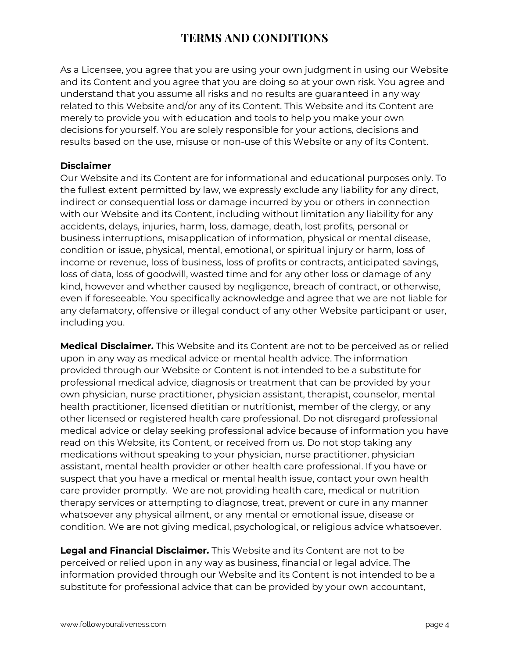As a Licensee, you agree that you are using your own judgment in using our Website and its Content and you agree that you are doing so at your own risk. You agree and understand that you assume all risks and no results are guaranteed in any way related to this Website and/or any of its Content. This Website and its Content are merely to provide you with education and tools to help you make your own decisions for yourself. You are solely responsible for your actions, decisions and results based on the use, misuse or non-use of this Website or any of its Content.

### **Disclaimer**

Our Website and its Content are for informational and educational purposes only. To the fullest extent permitted by law, we expressly exclude any liability for any direct, indirect or consequential loss or damage incurred by you or others in connection with our Website and its Content, including without limitation any liability for any accidents, delays, injuries, harm, loss, damage, death, lost profits, personal or business interruptions, misapplication of information, physical or mental disease, condition or issue, physical, mental, emotional, or spiritual injury or harm, loss of income or revenue, loss of business, loss of profits or contracts, anticipated savings, loss of data, loss of goodwill, wasted time and for any other loss or damage of any kind, however and whether caused by negligence, breach of contract, or otherwise, even if foreseeable. You specifically acknowledge and agree that we are not liable for any defamatory, offensive or illegal conduct of any other Website participant or user, including you.

**Medical Disclaimer.** This Website and its Content are not to be perceived as or relied upon in any way as medical advice or mental health advice. The information provided through our Website or Content is not intended to be a substitute for professional medical advice, diagnosis or treatment that can be provided by your own physician, nurse practitioner, physician assistant, therapist, counselor, mental health practitioner, licensed dietitian or nutritionist, member of the clergy, or any other licensed or registered health care professional. Do not disregard professional medical advice or delay seeking professional advice because of information you have read on this Website, its Content, or received from us. Do not stop taking any medications without speaking to your physician, nurse practitioner, physician assistant, mental health provider or other health care professional. If you have or suspect that you have a medical or mental health issue, contact your own health care provider promptly. We are not providing health care, medical or nutrition therapy services or attempting to diagnose, treat, prevent or cure in any manner whatsoever any physical ailment, or any mental or emotional issue, disease or condition. We are not giving medical, psychological, or religious advice whatsoever.

**Legal and Financial Disclaimer.** This Website and its Content are not to be perceived or relied upon in any way as business, financial or legal advice. The information provided through our Website and its Content is not intended to be a substitute for professional advice that can be provided by your own accountant,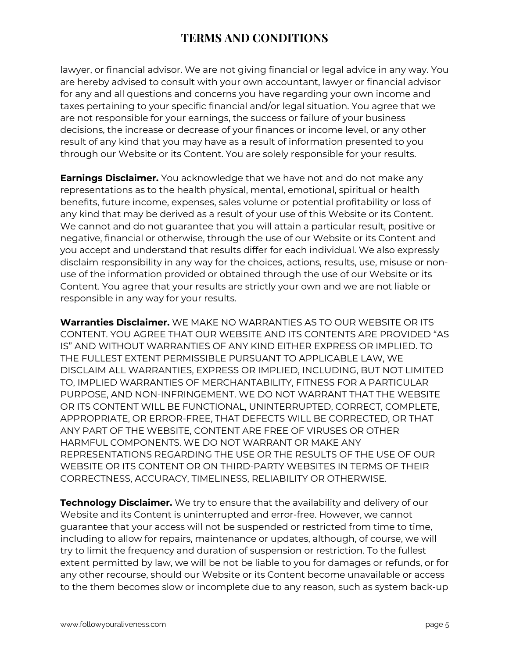lawyer, or financial advisor. We are not giving financial or legal advice in any way. You are hereby advised to consult with your own accountant, lawyer or financial advisor for any and all questions and concerns you have regarding your own income and taxes pertaining to your specific financial and/or legal situation. You agree that we are not responsible for your earnings, the success or failure of your business decisions, the increase or decrease of your finances or income level, or any other result of any kind that you may have as a result of information presented to you through our Website or its Content. You are solely responsible for your results.

**Earnings Disclaimer.** You acknowledge that we have not and do not make any representations as to the health physical, mental, emotional, spiritual or health benefits, future income, expenses, sales volume or potential profitability or loss of any kind that may be derived as a result of your use of this Website or its Content. We cannot and do not guarantee that you will attain a particular result, positive or negative, financial or otherwise, through the use of our Website or its Content and you accept and understand that results differ for each individual. We also expressly disclaim responsibility in any way for the choices, actions, results, use, misuse or nonuse of the information provided or obtained through the use of our Website or its Content. You agree that your results are strictly your own and we are not liable or responsible in any way for your results.

**Warranties Disclaimer.** WE MAKE NO WARRANTIES AS TO OUR WEBSITE OR ITS CONTENT. YOU AGREE THAT OUR WEBSITE AND ITS CONTENTS ARE PROVIDED "AS IS" AND WITHOUT WARRANTIES OF ANY KIND EITHER EXPRESS OR IMPLIED. TO THE FULLEST EXTENT PERMISSIBLE PURSUANT TO APPLICABLE LAW, WE DISCLAIM ALL WARRANTIES, EXPRESS OR IMPLIED, INCLUDING, BUT NOT LIMITED TO, IMPLIED WARRANTIES OF MERCHANTABILITY, FITNESS FOR A PARTICULAR PURPOSE, AND NON-INFRINGEMENT. WE DO NOT WARRANT THAT THE WEBSITE OR ITS CONTENT WILL BE FUNCTIONAL, UNINTERRUPTED, CORRECT, COMPLETE, APPROPRIATE, OR ERROR-FREE, THAT DEFECTS WILL BE CORRECTED, OR THAT ANY PART OF THE WEBSITE, CONTENT ARE FREE OF VIRUSES OR OTHER HARMFUL COMPONENTS. WE DO NOT WARRANT OR MAKE ANY REPRESENTATIONS REGARDING THE USE OR THE RESULTS OF THE USE OF OUR WEBSITE OR ITS CONTENT OR ON THIRD-PARTY WEBSITES IN TERMS OF THEIR CORRECTNESS, ACCURACY, TIMELINESS, RELIABILITY OR OTHERWISE.

**Technology Disclaimer.** We try to ensure that the availability and delivery of our Website and its Content is uninterrupted and error-free. However, we cannot guarantee that your access will not be suspended or restricted from time to time, including to allow for repairs, maintenance or updates, although, of course, we will try to limit the frequency and duration of suspension or restriction. To the fullest extent permitted by law, we will be not be liable to you for damages or refunds, or for any other recourse, should our Website or its Content become unavailable or access to the them becomes slow or incomplete due to any reason, such as system back-up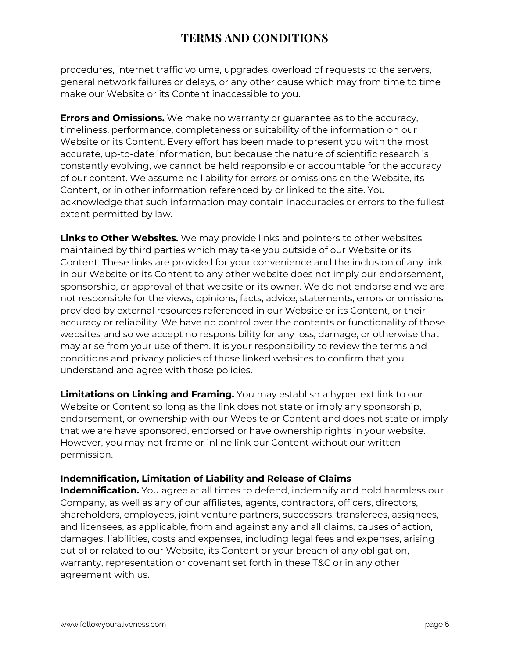procedures, internet traffic volume, upgrades, overload of requests to the servers, general network failures or delays, or any other cause which may from time to time make our Website or its Content inaccessible to you.

**Errors and Omissions.** We make no warranty or guarantee as to the accuracy, timeliness, performance, completeness or suitability of the information on our Website or its Content. Every effort has been made to present you with the most accurate, up-to-date information, but because the nature of scientific research is constantly evolving, we cannot be held responsible or accountable for the accuracy of our content. We assume no liability for errors or omissions on the Website, its Content, or in other information referenced by or linked to the site. You acknowledge that such information may contain inaccuracies or errors to the fullest extent permitted by law.

**Links to Other Websites.** We may provide links and pointers to other websites maintained by third parties which may take you outside of our Website or its Content. These links are provided for your convenience and the inclusion of any link in our Website or its Content to any other website does not imply our endorsement, sponsorship, or approval of that website or its owner. We do not endorse and we are not responsible for the views, opinions, facts, advice, statements, errors or omissions provided by external resources referenced in our Website or its Content, or their accuracy or reliability. We have no control over the contents or functionality of those websites and so we accept no responsibility for any loss, damage, or otherwise that may arise from your use of them. It is your responsibility to review the terms and conditions and privacy policies of those linked websites to confirm that you understand and agree with those policies.

**Limitations on Linking and Framing.** You may establish a hypertext link to our Website or Content so long as the link does not state or imply any sponsorship, endorsement, or ownership with our Website or Content and does not state or imply that we are have sponsored, endorsed or have ownership rights in your website. However, you may not frame or inline link our Content without our written permission.

### **Indemnification, Limitation of Liability and Release of Claims**

**Indemnification.** You agree at all times to defend, indemnify and hold harmless our Company, as well as any of our affiliates, agents, contractors, officers, directors, shareholders, employees, joint venture partners, successors, transferees, assignees, and licensees, as applicable, from and against any and all claims, causes of action, damages, liabilities, costs and expenses, including legal fees and expenses, arising out of or related to our Website, its Content or your breach of any obligation, warranty, representation or covenant set forth in these T&C or in any other agreement with us.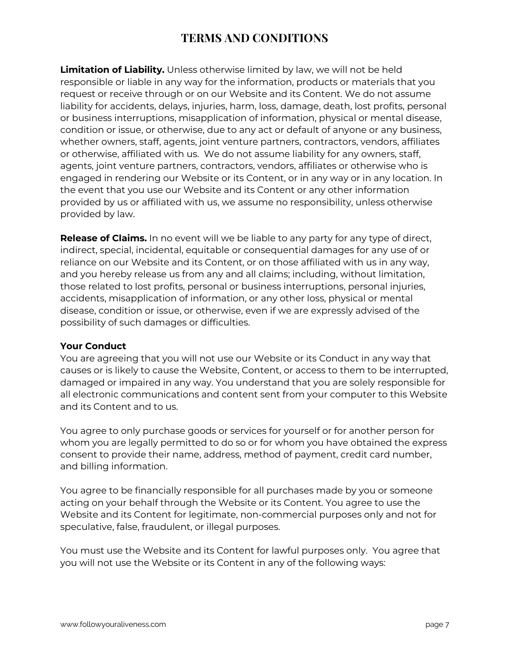**Limitation of Liability.** Unless otherwise limited by law, we will not be held responsible or liable in any way for the information, products or materials that you request or receive through or on our Website and its Content. We do not assume liability for accidents, delays, injuries, harm, loss, damage, death, lost profits, personal or business interruptions, misapplication of information, physical or mental disease, condition or issue, or otherwise, due to any act or default of anyone or any business, whether owners, staff, agents, joint venture partners, contractors, vendors, affiliates or otherwise, affiliated with us. We do not assume liability for any owners, staff, agents, joint venture partners, contractors, vendors, affiliates or otherwise who is engaged in rendering our Website or its Content, or in any way or in any location. In the event that you use our Website and its Content or any other information provided by us or affiliated with us, we assume no responsibility, unless otherwise provided by law.

**Release of Claims.** In no event will we be liable to any party for any type of direct, indirect, special, incidental, equitable or consequential damages for any use of or reliance on our Website and its Content, or on those affiliated with us in any way, and you hereby release us from any and all claims; including, without limitation, those related to lost profits, personal or business interruptions, personal injuries, accidents, misapplication of information, or any other loss, physical or mental disease, condition or issue, or otherwise, even if we are expressly advised of the possibility of such damages or difficulties.

#### **Your Conduct**

You are agreeing that you will not use our Website or its Conduct in any way that causes or is likely to cause the Website, Content, or access to them to be interrupted, damaged or impaired in any way. You understand that you are solely responsible for all electronic communications and content sent from your computer to this Website and its Content and to us.

You agree to only purchase goods or services for yourself or for another person for whom you are legally permitted to do so or for whom you have obtained the express consent to provide their name, address, method of payment, credit card number, and billing information.

You agree to be financially responsible for all purchases made by you or someone acting on your behalf through the Website or its Content. You agree to use the Website and its Content for legitimate, non-commercial purposes only and not for speculative, false, fraudulent, or illegal purposes.

You must use the Website and its Content for lawful purposes only. You agree that you will not use the Website or its Content in any of the following ways: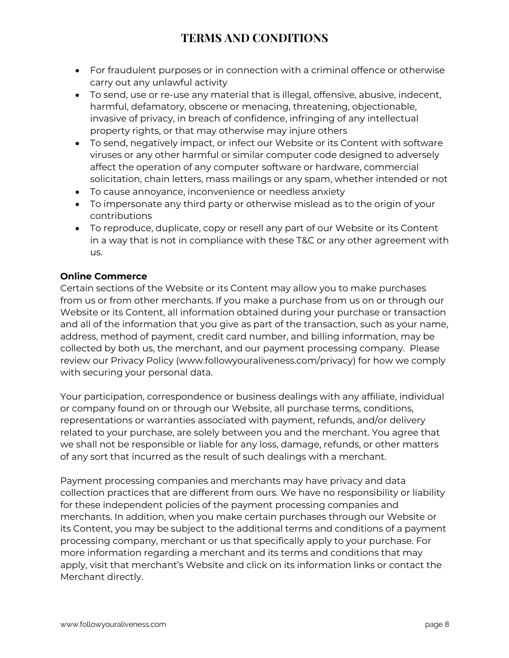- For fraudulent purposes or in connection with a criminal offence or otherwise carry out any unlawful activity
- To send, use or re-use any material that is illegal, offensive, abusive, indecent, harmful, defamatory, obscene or menacing, threatening, objectionable, invasive of privacy, in breach of confidence, infringing of any intellectual property rights, or that may otherwise may injure others
- To send, negatively impact, or infect our Website or its Content with software viruses or any other harmful or similar computer code designed to adversely affect the operation of any computer software or hardware, commercial solicitation, chain letters, mass mailings or any spam, whether intended or not
- To cause annoyance, inconvenience or needless anxiety
- To impersonate any third party or otherwise mislead as to the origin of your contributions
- To reproduce, duplicate, copy or resell any part of our Website or its Content in a way that is not in compliance with these T&C or any other agreement with us.

### **Online Commerce**

Certain sections of the Website or its Content may allow you to make purchases from us or from other merchants. If you make a purchase from us on or through our Website or its Content, all information obtained during your purchase or transaction and all of the information that you give as part of the transaction, such as your name, address, method of payment, credit card number, and billing information, may be collected by both us, the merchant, and our payment processing company. Please review our Privacy Policy (www.followyouraliveness.com/privacy) for how we comply with securing your personal data.

Your participation, correspondence or business dealings with any affiliate, individual or company found on or through our Website, all purchase terms, conditions, representations or warranties associated with payment, refunds, and/or delivery related to your purchase, are solely between you and the merchant. You agree that we shall not be responsible or liable for any loss, damage, refunds, or other matters of any sort that incurred as the result of such dealings with a merchant.

Payment processing companies and merchants may have privacy and data collection practices that are different from ours. We have no responsibility or liability for these independent policies of the payment processing companies and merchants. In addition, when you make certain purchases through our Website or its Content, you may be subject to the additional terms and conditions of a payment processing company, merchant or us that specifically apply to your purchase. For more information regarding a merchant and its terms and conditions that may apply, visit that merchant's Website and click on its information links or contact the Merchant directly.